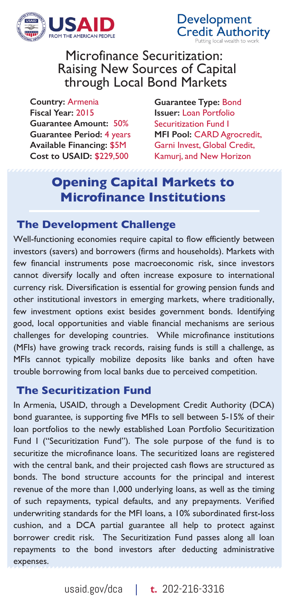

Development<br>Credit Authority

Microfinance Securitization: Raising New Sources of Capital through Local Bond Markets

**Country:** Armenia **Fiscal Year:** 2015 **Guarantee Amount:** 50% **Guarantee Period:** 4 years **Available Financing:** \$5M **Cost to USAID:** \$229,500

**Guarantee Type:** Bond **Issuer:** Loan Portfolio Securitization Fund I **MFI Pool:** CARD Agrocredit, Garni Invest, Global Credit, Kamurj, and New Horizon

# **Opening Capital Markets to Microfinance Institutions**

## **The Development Challenge**

Well-functioning economies require capital to flow efficiently between investors (savers) and borrowers (firms and households). Markets with few financial instruments pose macroeconomic risk, since investors cannot diversify locally and often increase exposure to international currency risk. Diversification is essential for growing pension funds and other institutional investors in emerging markets, where traditionally, few investment options exist besides government bonds. Identifying good, local opportunities and viable financial mechanisms are serious challenges for developing countries. While microfinance institutions (MFIs) have growing track records, raising funds is still a challenge, as MFIs cannot typically mobilize deposits like banks and often have trouble borrowing from local banks due to perceived competition.

## **The Securitization Fund**

In Armenia, USAID, through a Development Credit Authority (DCA) bond guarantee, is supporting five MFIs to sell between 5-15% of their loan portfolios to the newly established Loan Portfolio Securitization Fund I ("Securitization Fund"). The sole purpose of the fund is to securitize the microfinance loans. The securitized loans are registered with the central bank, and their projected cash flows are structured as bonds. The bond structure accounts for the principal and interest revenue of the more than 1,000 underlying loans, as well as the timing of such repayments, typical defaults, and any prepayments. Verified underwriting standards for the MFI loans, a 10% subordinated first-loss cushion, and a DCA partial guarantee all help to protect against borrower credit risk. The Securitization Fund passes along all loan repayments to the bond investors after deducting administrative expenses.